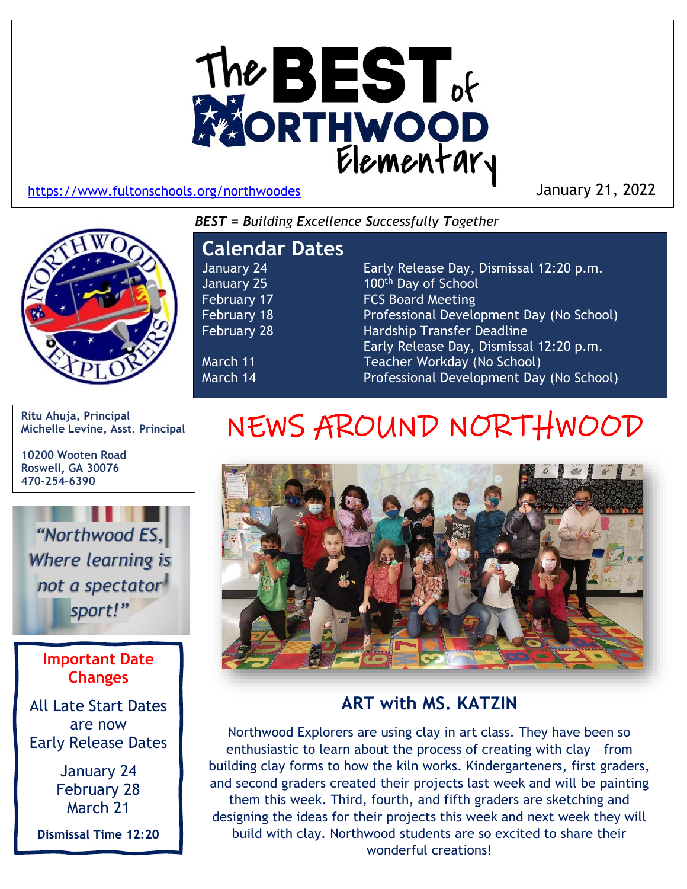

January 21, 2022

*BEST = Building Excellence Successfully Together*



## **Calendar Dates**

January 24 Early Release Day, Dismissal 12:20 p.m. January 25 100<sup>th</sup> Day of School February 17 **FCS Board Meeting** February 18 Professional Development Day (No School) February 28 Hardship Transfer Deadline Early Release Day, Dismissal 12:20 p.m. March 11 **Teacher Workday (No School)** March 14 **Professional Development Day (No School)** 

**Ritu Ahuja, Principal Michelle Levine, Asst. Principal**

**10200 Wooten Road Roswell, GA 30076 470-254-6390**

*"Northwood ES, Where learning is not a spectator sport!"*

> **Important Date Changes**

All Late Start Dates are now Early Release Dates

> January 24 February 28 March 21

**Dismissal Time 12:20 p.m.**

## NEWS AROUND NORTHWOOD



## **ART with MS. KATZIN**

Northwood Explorers are using clay in art class. They have been so enthusiastic to learn about the process of creating with clay – from building clay forms to how the kiln works. Kindergarteners, first graders, and second graders created their projects last week and will be painting them this week. Third, fourth, and fifth graders are sketching and designing the ideas for their projects this week and next week they will build with clay. Northwood students are so excited to share their wonderful creations!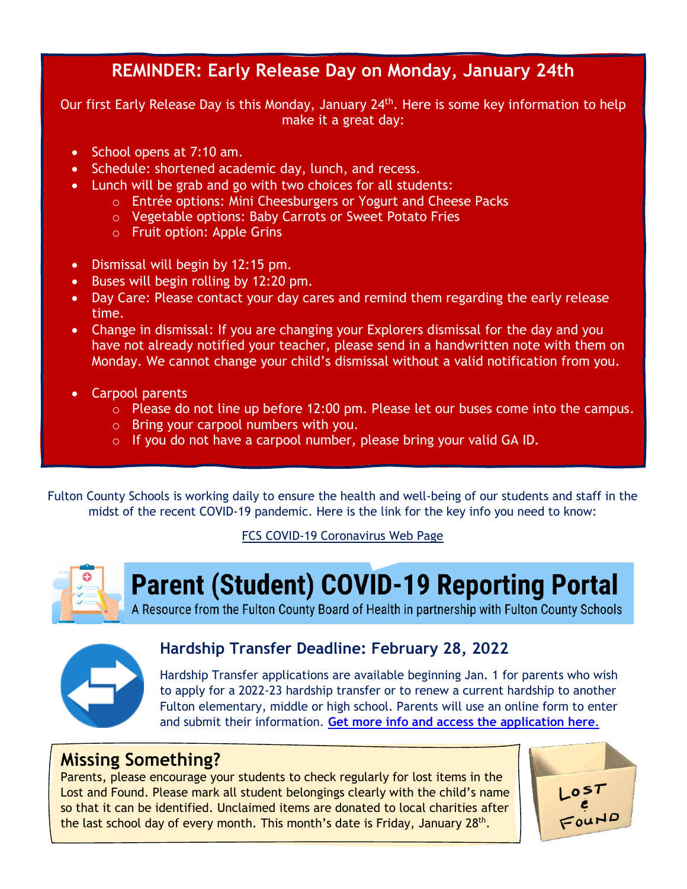## **REMINDER: Early Release Day on Monday, January 24th**

Our first Early Release Day is this Monday, January 24<sup>th</sup>. Here is some key information to help make it a great day:

- School opens at 7:10 am.
- Schedule: shortened academic day, lunch, and recess.
- Lunch will be grab and go with two choices for all students:
	- o Entrée options: Mini Cheesburgers or Yogurt and Cheese Packs
	- o Vegetable options: Baby Carrots or Sweet Potato Fries
	- o Fruit option: Apple Grins
- Dismissal will begin by 12:15 pm.
- Buses will begin rolling by 12:20 pm.
- Day Care: Please contact your day cares and remind them regarding the early release time.
- Change in dismissal: If you are changing your Explorers dismissal for the day and you have not already notified your teacher, please send in a handwritten note with them on Monday. We cannot change your child's dismissal without a valid notification from you.
- Carpool parents
	- o Please do not line up before 12:00 pm. Please let our buses come into the campus.
	- o Bring your carpool numbers with you.
	- o If you do not have a carpool number, please bring your valid GA ID.

Fulton County Schools is working daily to ensure the health and well-being of our students and staff in the midst of the recent COVID-19 pandemic. Here is the link for the key info you need to know:

#### [FCS COVID-19 Coronavirus Web Page](https://www.fultonschools.org/Page/16932)



## **Parent (Student) COVID-19 Reporting Portal**

A Resource from the Fulton County Board of Health in partnership with Fulton County Schools



#### **Hardship Transfer Deadline: February 28, 2022**

Hardship Transfer applications are available beginning Jan. 1 for parents who wish to apply for a 2022-23 hardship transfer or to renew a current hardship to another Fulton elementary, middle or high school. Parents will use an online form to enter and submit their information. **[Get more info and access the application here](https://www.fultonschools.org/hardshiptransfer)**.

## **Missing Something?**

Parents, please encourage your students to check regularly for lost items in the Lost and Found. Please mark all student belongings clearly with the child's name so that it can be identified. Unclaimed items are donated to local charities after the last school day of every month. This month's date is Friday, January 28<sup>th</sup>.